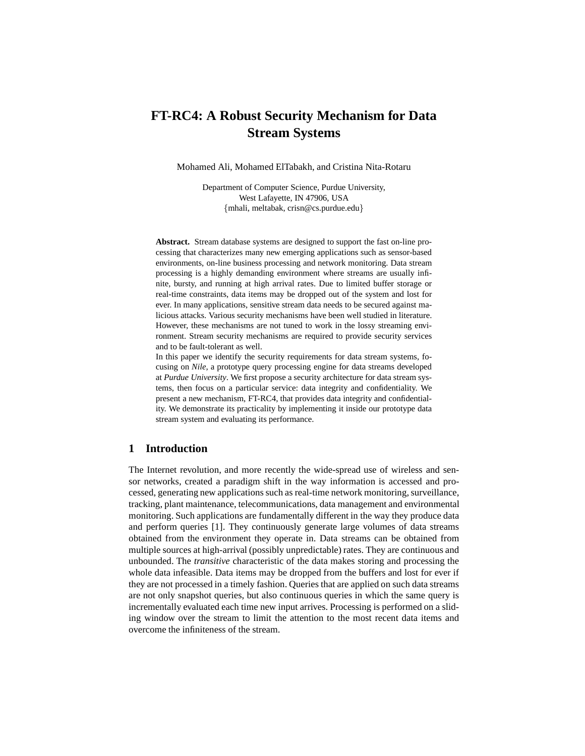# **FT-RC4: A Robust Security Mechanism for Data Stream Systems**

Mohamed Ali, Mohamed ElTabakh, and Cristina Nita-Rotaru

Department of Computer Science, Purdue University, West Lafayette, IN 47906, USA {mhali, meltabak, crisn@cs.purdue.edu}

**Abstract.** Stream database systems are designed to support the fast on-line processing that characterizes many new emerging applications such as sensor-based environments, on-line business processing and network monitoring. Data stream processing is a highly demanding environment where streams are usually infinite, bursty, and running at high arrival rates. Due to limited buffer storage or real-time constraints, data items may be dropped out of the system and lost for ever. In many applications, sensitive stream data needs to be secured against malicious attacks. Various security mechanisms have been well studied in literature. However, these mechanisms are not tuned to work in the lossy streaming environment. Stream security mechanisms are required to provide security services and to be fault-tolerant as well.

In this paper we identify the security requirements for data stream systems, focusing on *Nile*, a prototype query processing engine for data streams developed at *Purdue University*. We first propose a security architecture for data stream systems, then focus on a particular service: data integrity and confidentiality. We present a new mechanism, FT-RC4, that provides data integrity and confidentiality. We demonstrate its practicality by implementing it inside our prototype data stream system and evaluating its performance.

# **1 Introduction**

The Internet revolution, and more recently the wide-spread use of wireless and sensor networks, created a paradigm shift in the way information is accessed and processed, generating new applications such as real-time network monitoring, surveillance, tracking, plant maintenance, telecommunications, data management and environmental monitoring. Such applications are fundamentally different in the way they produce data and perform queries [1]. They continuously generate large volumes of data streams obtained from the environment they operate in. Data streams can be obtained from multiple sources at high-arrival (possibly unpredictable) rates. They are continuous and unbounded. The *transitive* characteristic of the data makes storing and processing the whole data infeasible. Data items may be dropped from the buffers and lost for ever if they are not processed in a timely fashion. Queries that are applied on such data streams are not only snapshot queries, but also continuous queries in which the same query is incrementally evaluated each time new input arrives. Processing is performed on a sliding window over the stream to limit the attention to the most recent data items and overcome the infiniteness of the stream.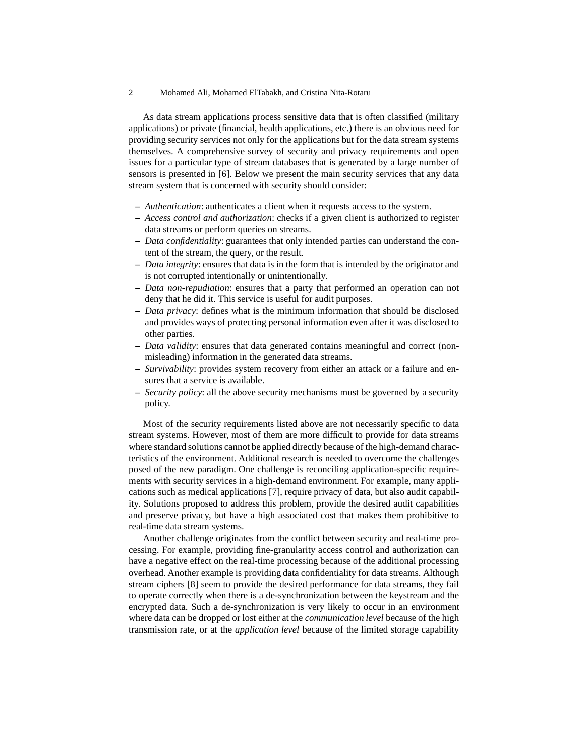#### 2 Mohamed Ali, Mohamed ElTabakh, and Cristina Nita-Rotaru

As data stream applications process sensitive data that is often classified (military applications) or private (financial, health applications, etc.) there is an obvious need for providing security services not only for the applications but for the data stream systems themselves. A comprehensive survey of security and privacy requirements and open issues for a particular type of stream databases that is generated by a large number of sensors is presented in [6]. Below we present the main security services that any data stream system that is concerned with security should consider:

- **–** *Authentication*: authenticates a client when it requests access to the system.
- **–** *Access control and authorization*: checks if a given client is authorized to register data streams or perform queries on streams.
- **–** *Data confidentiality*: guarantees that only intended parties can understand the content of the stream, the query, or the result.
- **–** *Data integrity*: ensures that data is in the form that is intended by the originator and is not corrupted intentionally or unintentionally.
- **–** *Data non-repudiation*: ensures that a party that performed an operation can not deny that he did it. This service is useful for audit purposes.
- **–** *Data privacy*: defines what is the minimum information that should be disclosed and provides ways of protecting personal information even after it was disclosed to other parties.
- **–** *Data validity*: ensures that data generated contains meaningful and correct (nonmisleading) information in the generated data streams.
- **–** *Survivability*: provides system recovery from either an attack or a failure and ensures that a service is available.
- **–** *Security policy*: all the above security mechanisms must be governed by a security policy.

Most of the security requirements listed above are not necessarily specific to data stream systems. However, most of them are more difficult to provide for data streams where standard solutions cannot be applied directly because of the high-demand characteristics of the environment. Additional research is needed to overcome the challenges posed of the new paradigm. One challenge is reconciling application-specific requirements with security services in a high-demand environment. For example, many applications such as medical applications [7], require privacy of data, but also audit capability. Solutions proposed to address this problem, provide the desired audit capabilities and preserve privacy, but have a high associated cost that makes them prohibitive to real-time data stream systems.

Another challenge originates from the conflict between security and real-time processing. For example, providing fine-granularity access control and authorization can have a negative effect on the real-time processing because of the additional processing overhead. Another example is providing data confidentiality for data streams. Although stream ciphers [8] seem to provide the desired performance for data streams, they fail to operate correctly when there is a de-synchronization between the keystream and the encrypted data. Such a de-synchronization is very likely to occur in an environment where data can be dropped or lost either at the *communication level* because of the high transmission rate, or at the *application level* because of the limited storage capability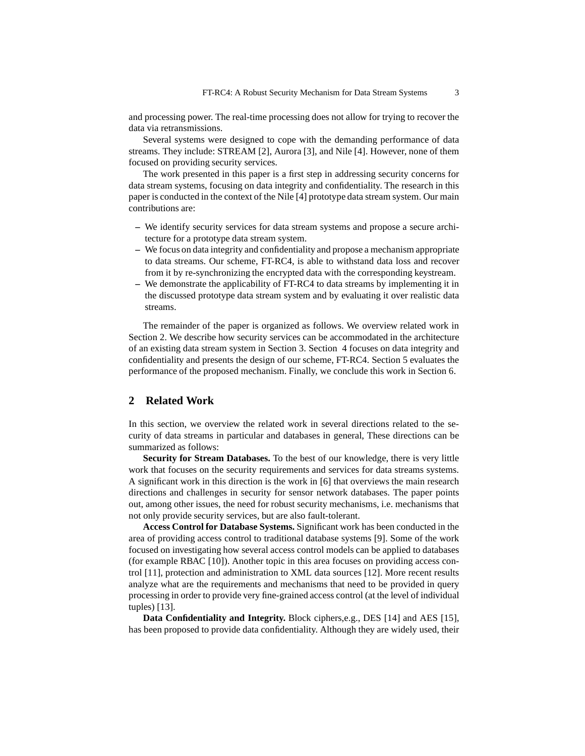and processing power. The real-time processing does not allow for trying to recover the data via retransmissions.

Several systems were designed to cope with the demanding performance of data streams. They include: STREAM [2], Aurora [3], and Nile [4]. However, none of them focused on providing security services.

The work presented in this paper is a first step in addressing security concerns for data stream systems, focusing on data integrity and confidentiality. The research in this paper is conducted in the context of the Nile [4] prototype data stream system. Our main contributions are:

- **–** We identify security services for data stream systems and propose a secure architecture for a prototype data stream system.
- **–** We focus on data integrity and confidentiality and propose a mechanism appropriate to data streams. Our scheme, FT-RC4, is able to withstand data loss and recover from it by re-synchronizing the encrypted data with the corresponding keystream.
- **–** We demonstrate the applicability of FT-RC4 to data streams by implementing it in the discussed prototype data stream system and by evaluating it over realistic data streams.

The remainder of the paper is organized as follows. We overview related work in Section 2. We describe how security services can be accommodated in the architecture of an existing data stream system in Section 3. Section 4 focuses on data integrity and confidentiality and presents the design of our scheme, FT-RC4. Section 5 evaluates the performance of the proposed mechanism. Finally, we conclude this work in Section 6.

## **2 Related Work**

In this section, we overview the related work in several directions related to the security of data streams in particular and databases in general, These directions can be summarized as follows:

**Security for Stream Databases.** To the best of our knowledge, there is very little work that focuses on the security requirements and services for data streams systems. A significant work in this direction is the work in [6] that overviews the main research directions and challenges in security for sensor network databases. The paper points out, among other issues, the need for robust security mechanisms, i.e. mechanisms that not only provide security services, but are also fault-tolerant.

**Access Control for Database Systems.** Significant work has been conducted in the area of providing access control to traditional database systems [9]. Some of the work focused on investigating how several access control models can be applied to databases (for example RBAC [10]). Another topic in this area focuses on providing access control [11], protection and administration to XML data sources [12]. More recent results analyze what are the requirements and mechanisms that need to be provided in query processing in order to provide very fine-grained access control (at the level of individual tuples) [13].

**Data Confidentiality and Integrity.** Block ciphers,e.g., DES [14] and AES [15], has been proposed to provide data confidentiality. Although they are widely used, their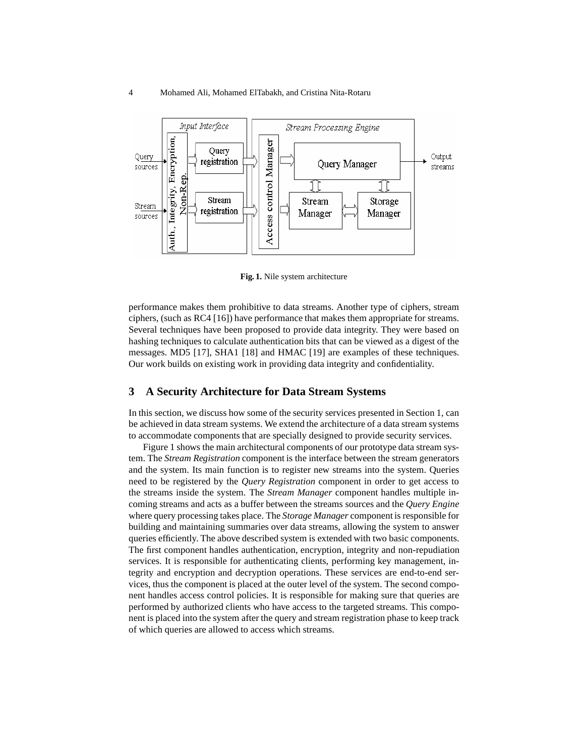

**Fig. 1.** Nile system architecture

performance makes them prohibitive to data streams. Another type of ciphers, stream ciphers, (such as RC4 [16]) have performance that makes them appropriate for streams. Several techniques have been proposed to provide data integrity. They were based on hashing techniques to calculate authentication bits that can be viewed as a digest of the messages. MD5 [17], SHA1 [18] and HMAC [19] are examples of these techniques. Our work builds on existing work in providing data integrity and confidentiality.

#### **3 A Security Architecture for Data Stream Systems**

In this section, we discuss how some of the security services presented in Section 1, can be achieved in data stream systems. We extend the architecture of a data stream systems to accommodate components that are specially designed to provide security services.

Figure 1 shows the main architectural components of our prototype data stream system. The *Stream Registration* component is the interface between the stream generators and the system. Its main function is to register new streams into the system. Queries need to be registered by the *Query Registration* component in order to get access to the streams inside the system. The *Stream Manager* component handles multiple incoming streams and acts as a buffer between the streams sources and the *Query Engine* where query processing takes place. The *Storage Manager* component is responsible for building and maintaining summaries over data streams, allowing the system to answer queries efficiently. The above described system is extended with two basic components. The first component handles authentication, encryption, integrity and non-repudiation services. It is responsible for authenticating clients, performing key management, integrity and encryption and decryption operations. These services are end-to-end services, thus the component is placed at the outer level of the system. The second component handles access control policies. It is responsible for making sure that queries are performed by authorized clients who have access to the targeted streams. This component is placed into the system after the query and stream registration phase to keep track of which queries are allowed to access which streams.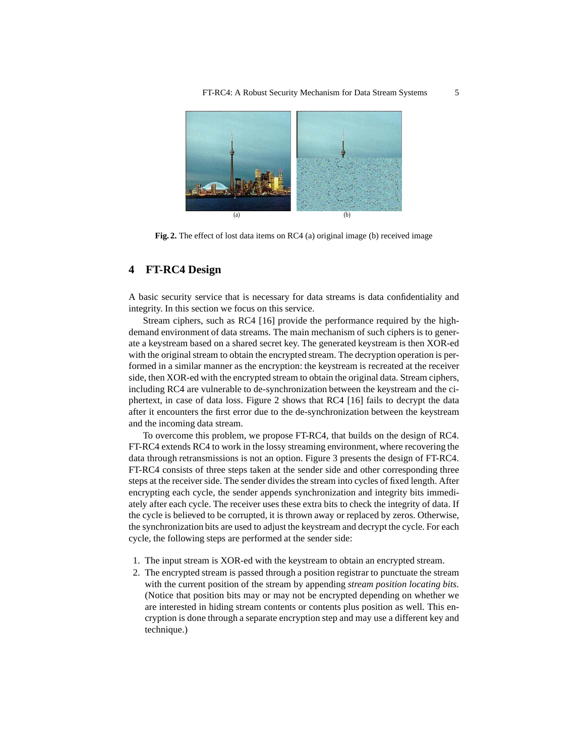

**Fig. 2.** The effect of lost data items on RC4 (a) original image (b) received image

# **4 FT-RC4 Design**

A basic security service that is necessary for data streams is data confidentiality and integrity. In this section we focus on this service.

Stream ciphers, such as RC4 [16] provide the performance required by the highdemand environment of data streams. The main mechanism of such ciphers is to generate a keystream based on a shared secret key. The generated keystream is then XOR-ed with the original stream to obtain the encrypted stream. The decryption operation is performed in a similar manner as the encryption: the keystream is recreated at the receiver side, then XOR-ed with the encrypted stream to obtain the original data. Stream ciphers, including RC4 are vulnerable to de-synchronization between the keystream and the ciphertext, in case of data loss. Figure 2 shows that RC4 [16] fails to decrypt the data after it encounters the first error due to the de-synchronization between the keystream and the incoming data stream.

To overcome this problem, we propose FT-RC4, that builds on the design of RC4. FT-RC4 extends RC4 to work in the lossy streaming environment, where recovering the data through retransmissions is not an option. Figure 3 presents the design of FT-RC4. FT-RC4 consists of three steps taken at the sender side and other corresponding three steps at the receiver side. The sender divides the stream into cycles of fixed length. After encrypting each cycle, the sender appends synchronization and integrity bits immediately after each cycle. The receiver uses these extra bits to check the integrity of data. If the cycle is believed to be corrupted, it is thrown away or replaced by zeros. Otherwise, the synchronization bits are used to adjust the keystream and decrypt the cycle. For each cycle, the following steps are performed at the sender side:

- 1. The input stream is XOR-ed with the keystream to obtain an encrypted stream.
- 2. The encrypted stream is passed through a position registrar to punctuate the stream with the current position of the stream by appending *stream position locating bits*. (Notice that position bits may or may not be encrypted depending on whether we are interested in hiding stream contents or contents plus position as well. This encryption is done through a separate encryption step and may use a different key and technique.)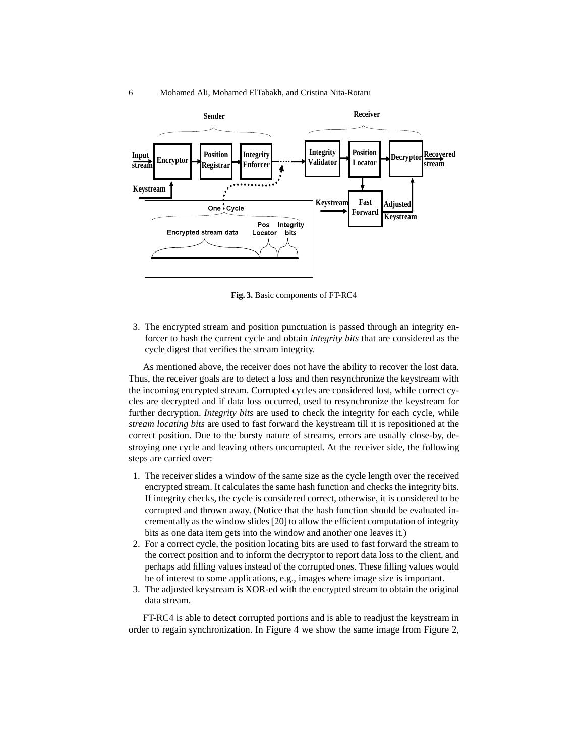

**Fig. 3.** Basic components of FT-RC4

3. The encrypted stream and position punctuation is passed through an integrity enforcer to hash the current cycle and obtain *integrity bits* that are considered as the cycle digest that verifies the stream integrity.

As mentioned above, the receiver does not have the ability to recover the lost data. Thus, the receiver goals are to detect a loss and then resynchronize the keystream with the incoming encrypted stream. Corrupted cycles are considered lost, while correct cycles are decrypted and if data loss occurred, used to resynchronize the keystream for further decryption. *Integrity bits* are used to check the integrity for each cycle, while *stream locating bits* are used to fast forward the keystream till it is repositioned at the correct position. Due to the bursty nature of streams, errors are usually close-by, destroying one cycle and leaving others uncorrupted. At the receiver side, the following steps are carried over:

- 1. The receiver slides a window of the same size as the cycle length over the received encrypted stream. It calculates the same hash function and checks the integrity bits. If integrity checks, the cycle is considered correct, otherwise, it is considered to be corrupted and thrown away. (Notice that the hash function should be evaluated incrementally as the window slides [20] to allow the efficient computation of integrity bits as one data item gets into the window and another one leaves it.)
- 2. For a correct cycle, the position locating bits are used to fast forward the stream to the correct position and to inform the decryptor to report data loss to the client, and perhaps add filling values instead of the corrupted ones. These filling values would be of interest to some applications, e.g., images where image size is important.
- 3. The adjusted keystream is XOR-ed with the encrypted stream to obtain the original data stream.

FT-RC4 is able to detect corrupted portions and is able to readjust the keystream in order to regain synchronization. In Figure 4 we show the same image from Figure 2,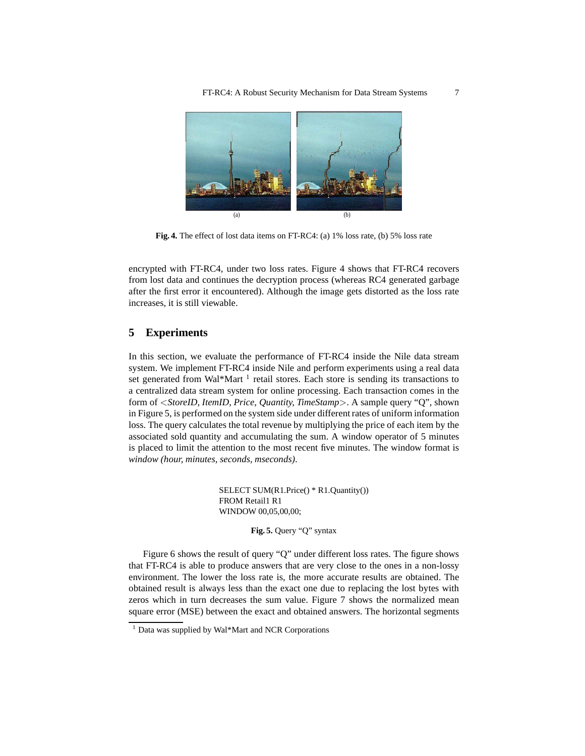FT-RC4: A Robust Security Mechanism for Data Stream Systems 7



**Fig. 4.** The effect of lost data items on FT-RC4: (a) 1% loss rate, (b) 5% loss rate

encrypted with FT-RC4, under two loss rates. Figure 4 shows that FT-RC4 recovers from lost data and continues the decryption process (whereas RC4 generated garbage after the first error it encountered). Although the image gets distorted as the loss rate increases, it is still viewable.

## **5 Experiments**

In this section, we evaluate the performance of FT-RC4 inside the Nile data stream system. We implement FT-RC4 inside Nile and perform experiments using a real data set generated from Wal\*Mart<sup>1</sup> retail stores. Each store is sending its transactions to a centralized data stream system for online processing. Each transaction comes in the form of <*StoreID, ItemID, Price, Quantity, TimeStamp*>. A sample query "Q", shown in Figure 5, is performed on the system side under different rates of uniform information loss. The query calculates the total revenue by multiplying the price of each item by the associated sold quantity and accumulating the sum. A window operator of 5 minutes is placed to limit the attention to the most recent five minutes. The window format is *window (hour, minutes, seconds, mseconds)*.

> SELECT SUM(R1.Price() \* R1.Quantity()) FROM Retail1 R1 WINDOW 00,05,00,00;

> > **Fig. 5.** Query "Q" syntax

Figure 6 shows the result of query "Q" under different loss rates. The figure shows that FT-RC4 is able to produce answers that are very close to the ones in a non-lossy environment. The lower the loss rate is, the more accurate results are obtained. The obtained result is always less than the exact one due to replacing the lost bytes with zeros which in turn decreases the sum value. Figure 7 shows the normalized mean square error (MSE) between the exact and obtained answers. The horizontal segments

<sup>1</sup> Data was supplied by Wal\*Mart and NCR Corporations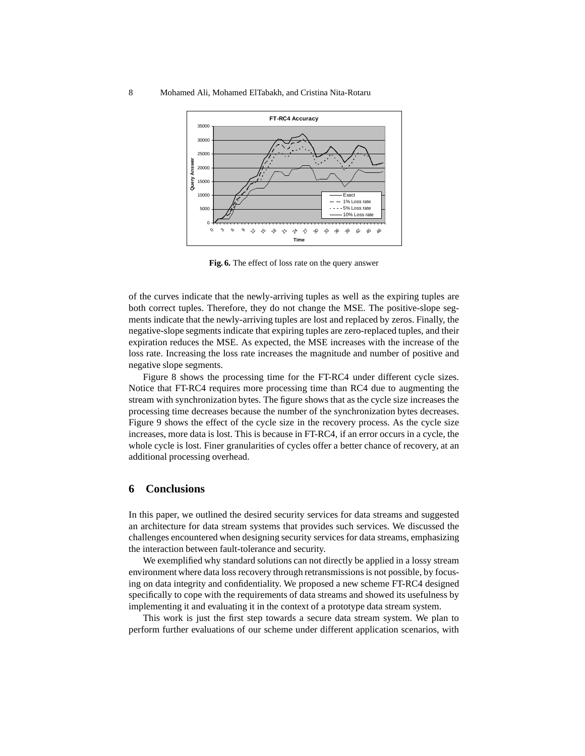

**Fig. 6.** The effect of loss rate on the query answer

of the curves indicate that the newly-arriving tuples as well as the expiring tuples are both correct tuples. Therefore, they do not change the MSE. The positive-slope segments indicate that the newly-arriving tuples are lost and replaced by zeros. Finally, the negative-slope segments indicate that expiring tuples are zero-replaced tuples, and their expiration reduces the MSE. As expected, the MSE increases with the increase of the loss rate. Increasing the loss rate increases the magnitude and number of positive and negative slope segments.

Figure 8 shows the processing time for the FT-RC4 under different cycle sizes. Notice that FT-RC4 requires more processing time than RC4 due to augmenting the stream with synchronization bytes. The figure shows that as the cycle size increases the processing time decreases because the number of the synchronization bytes decreases. Figure 9 shows the effect of the cycle size in the recovery process. As the cycle size increases, more data is lost. This is because in FT-RC4, if an error occurs in a cycle, the whole cycle is lost. Finer granularities of cycles offer a better chance of recovery, at an additional processing overhead.

#### **6 Conclusions**

In this paper, we outlined the desired security services for data streams and suggested an architecture for data stream systems that provides such services. We discussed the challenges encountered when designing security services for data streams, emphasizing the interaction between fault-tolerance and security.

We exemplified why standard solutions can not directly be applied in a lossy stream environment where data loss recovery through retransmissions is not possible, by focusing on data integrity and confidentiality. We proposed a new scheme FT-RC4 designed specifically to cope with the requirements of data streams and showed its usefulness by implementing it and evaluating it in the context of a prototype data stream system.

This work is just the first step towards a secure data stream system. We plan to perform further evaluations of our scheme under different application scenarios, with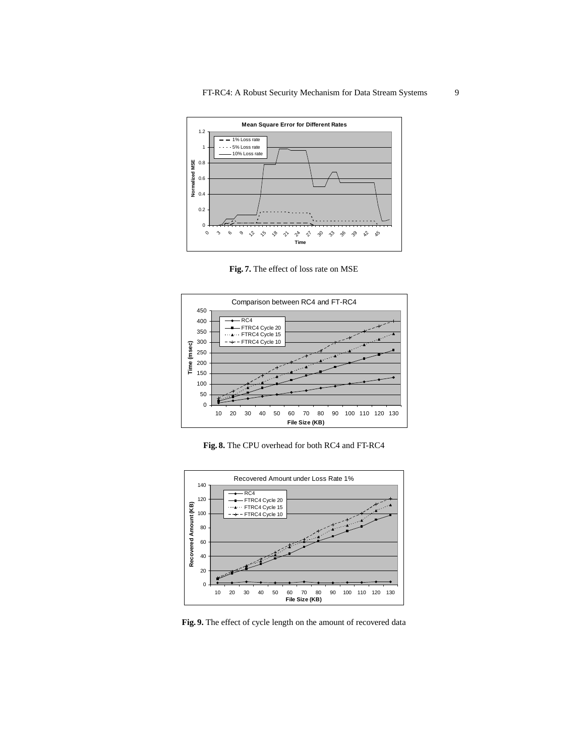

**Fig. 7.** The effect of loss rate on MSE







**Fig. 9.** The effect of cycle length on the amount of recovered data